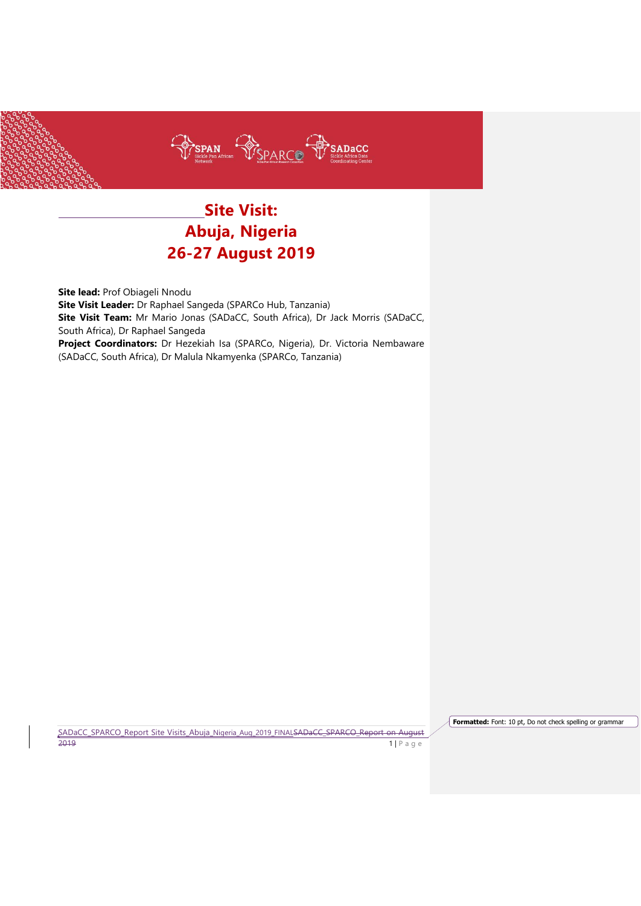

# **Site Visit: Abuja, Nigeria 26-27 August 2019**

**Site lead:** Prof Obiageli Nnodu **Site Visit Leader:** Dr Raphael Sangeda (SPARCo Hub, Tanzania) **Site Visit Team:** Mr Mario Jonas (SADaCC, South Africa), Dr Jack Morris (SADaCC, South Africa), Dr Raphael Sangeda **Project Coordinators:** Dr Hezekiah Isa (SPARCo, Nigeria), Dr. Victoria Nembaware (SADaCC, South Africa), Dr Malula Nkamyenka (SPARCo, Tanzania)

SADaCC\_SPARCO\_Report Site Visits\_Abuja\_Nigeria\_Aug\_2019\_FINALSADaCC\_SPARCO\_Report on August 2019 **1** | P a g e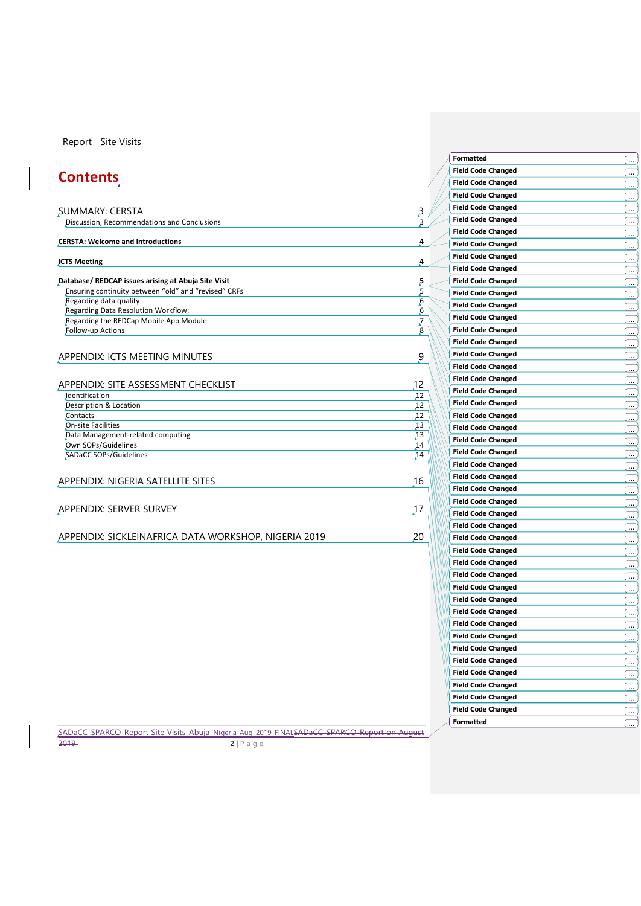# **Contents**

| Discussion, Recommendations and Conclusions                              |                  |
|--------------------------------------------------------------------------|------------------|
| <b>CERSTA: Welcome and Introductions</b>                                 | 4                |
| <b>JCTS Meeting</b>                                                      | 4                |
| Database/ REDCAP issues arising at Abuja Site Visit                      | 5                |
| Ensuring continuity between "old" and "revised" CRFs                     | 5                |
| Regarding data quality                                                   | 6                |
| Regarding Data Resolution Workflow:                                      | 6                |
| Regarding the REDCap Mobile App Module:                                  | $\overline{J}$   |
| Follow-up Actions                                                        | $\boldsymbol{8}$ |
| APPENDIX: ICTS MEETING MINUTES                                           | 9                |
|                                                                          | 12               |
| Identification                                                           | 12               |
| Description & Location                                                   | 12               |
| Contacts                                                                 | 12               |
| <b>On-site Facilities</b>                                                | 13               |
| Data Management-related computing                                        | 13               |
| Own SOPs/Guidelines                                                      | 14               |
| SADaCC SOPs/Guidelines                                                   | 14               |
|                                                                          |                  |
|                                                                          | 16               |
| APPENDIX: SITE ASSESSMENT CHECKLIST<br>APPENDIX: NIGERIA SATELLITE SITES |                  |
| APPENDIX: SERVER SURVEY                                                  | 17               |

APPENDIX: [SICKLEINAFRICA DATA WORKSHOP, NIGERIA 2019](#page-19-0) 20

SADaCC\_SPARCO\_Report Site Visits\_Abuja\_Nigeria\_Aug\_2019\_FINALSADaCC\_SPARCO\_Report on August 2019 2 | P a g e

| Formatted                 | ے ا                      |
|---------------------------|--------------------------|
| <b>Field Code Changed</b> |                          |
| <b>Field Code Changed</b> | l.                       |
| <b>Field Code Changed</b> | <u>ب</u> )               |
| <b>Field Code Changed</b> | <u>ب</u> )               |
| <b>Field Code Changed</b> | $\sim$                   |
| <b>Field Code Changed</b> | <u></u>                  |
| <b>Field Code Changed</b> | $\mathbf{u}_\mathrm{in}$ |
| <b>Field Code Changed</b> | <u>(پ</u>                |
| <b>Field Code Changed</b> | <u>(پ</u>                |
| <b>Field Code Changed</b> | ىيى                      |
| <b>Field Code Changed</b> | <u></u>                  |
| <b>Field Code Changed</b> | <u></u>                  |
| <b>Field Code Changed</b> | ÷                        |
| <b>Field Code Changed</b> | .<br>د                   |
| <b>Field Code Changed</b> |                          |
| <b>Field Code Changed</b> | ÷                        |
| <b>Field Code Changed</b> | $\ddot{\phantom{a}}$     |
| <b>Field Code Changed</b> | $\cdot$                  |
| <b>Field Code Changed</b> | l                        |
| <b>Field Code Changed</b> | <u>(</u>                 |
| <b>Field Code Changed</b> | … ا                      |
| <b>Field Code Changed</b> | <u></u>                  |
| <b>Field Code Changed</b> | <u>as</u>                |
| <b>Field Code Changed</b> | $\equiv$                 |
| <b>Field Code Changed</b> | $\cdot$                  |
|                           | ۔۔ ا                     |
| <b>Field Code Changed</b> | <u></u>                  |
| <b>Field Code Changed</b> | یب)                      |
| <b>Field Code Changed</b> | چ)                       |
| <b>Field Code Changed</b> | یے)                      |
| <b>Field Code Changed</b> | l . <u></u>              |
| <b>Field Code Changed</b> | <u>as</u>                |
| <b>Field Code Changed</b> | <u></u>                  |
| <b>Field Code Changed</b> | ÷                        |
| <b>Field Code Changed</b> |                          |
| <b>Field Code Changed</b> | $\cdot$                  |
| <b>Field Code Changed</b> | $\mathbf{u}$             |
| <b>Field Code Changed</b> | <u></u>                  |
| <b>Field Code Changed</b> | $\cdots$                 |
| <b>Field Code Changed</b> | یب)                      |
| <b>Field Code Changed</b> | <u> ا</u>                |
| <b>Field Code Changed</b> | <u>in</u>                |
| <b>Field Code Changed</b> | یب)                      |
| <b>Field Code Changed</b> | ÷                        |
| <b>Field Code Changed</b> | <u></u>                  |
| <b>Field Code Changed</b> | $\frac{1}{2}$            |
| <b>Formatted</b>          |                          |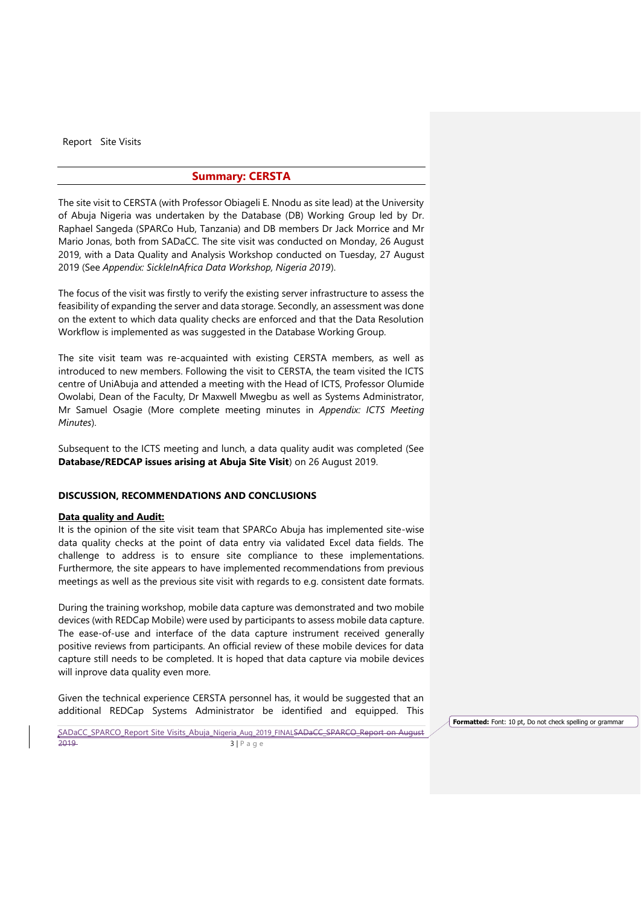### **Summary: CERSTA**

<span id="page-2-0"></span>The site visit to CERSTA (with Professor Obiageli E. Nnodu as site lead) at the University of Abuja Nigeria was undertaken by the Database (DB) Working Group led by Dr. Raphael Sangeda (SPARCo Hub, Tanzania) and DB members Dr Jack Morrice and Mr Mario Jonas, both from SADaCC. The site visit was conducted on Monday, 26 August 2019, with a Data Quality and Analysis Workshop conducted on Tuesday, 27 August 2019 (See *Appendix: SickleInAfrica Data Workshop, Nigeria 2019*).

The focus of the visit was firstly to verify the existing server infrastructure to assess the feasibility of expanding the server and data storage. Secondly, an assessment was done on the extent to which data quality checks are enforced and that the Data Resolution Workflow is implemented as was suggested in the Database Working Group.

The site visit team was re-acquainted with existing CERSTA members, as well as introduced to new members. Following the visit to CERSTA, the team visited the ICTS centre of UniAbuja and attended a meeting with the Head of ICTS, Professor Olumide Owolabi, Dean of the Faculty, Dr Maxwell Mwegbu as well as Systems Administrator, Mr Samuel Osagie (More complete meeting minutes in *Appendix: ICTS Meeting Minutes*).

Subsequent to the ICTS meeting and lunch, a data quality audit was completed (See **Database/REDCAP issues arising at Abuja Site Visit**) on 26 August 2019.

#### <span id="page-2-1"></span>**DISCUSSION, RECOMMENDATIONS AND CONCLUSIONS**

### **Data quality and Audit:**

It is the opinion of the site visit team that SPARCo Abuja has implemented site-wise data quality checks at the point of data entry via validated Excel data fields. The challenge to address is to ensure site compliance to these implementations. Furthermore, the site appears to have implemented recommendations from previous meetings as well as the previous site visit with regards to e.g. consistent date formats.

During the training workshop, mobile data capture was demonstrated and two mobile devices (with REDCap Mobile) were used by participants to assess mobile data capture. The ease-of-use and interface of the data capture instrument received generally positive reviews from participants. An official review of these mobile devices for data capture still needs to be completed. It is hoped that data capture via mobile devices will inprove data quality even more.

Given the technical experience CERSTA personnel has, it would be suggested that an additional REDCap Systems Administrator be identified and equipped. This

SADaCC\_SPARCO\_Report Site Visits\_Abuja\_Nigeria\_Aug\_2019\_FINALSADaCC\_SPARCO\_Report on August 2019 **3 | P** a g e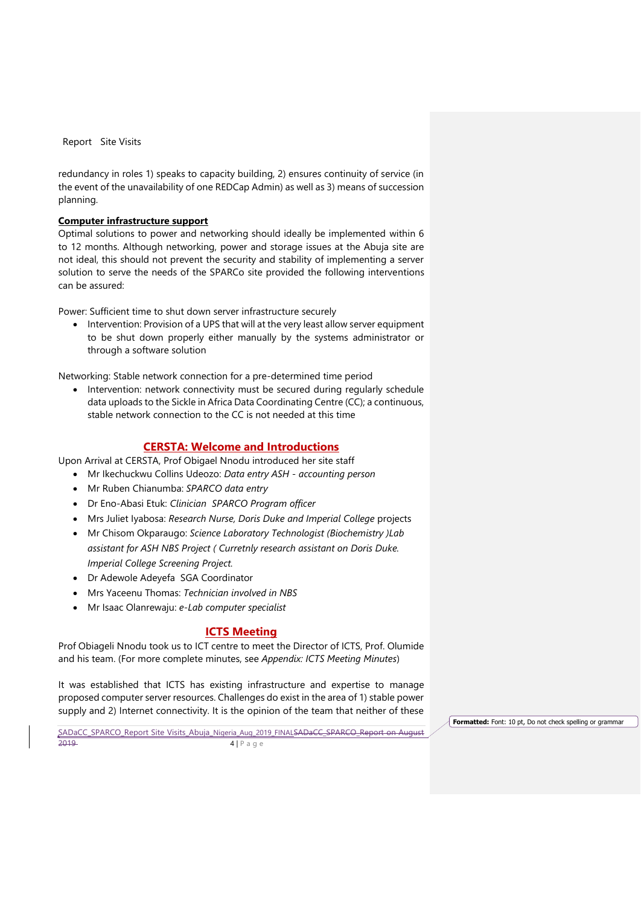redundancy in roles 1) speaks to capacity building, 2) ensures continuity of service (in the event of the unavailability of one REDCap Admin) as well as 3) means of succession planning.

# **Computer infrastructure support**

Optimal solutions to power and networking should ideally be implemented within 6 to 12 months. Although networking, power and storage issues at the Abuja site are not ideal, this should not prevent the security and stability of implementing a server solution to serve the needs of the SPARCo site provided the following interventions can be assured:

Power: Sufficient time to shut down server infrastructure securely

• Intervention: Provision of a UPS that will at the very least allow server equipment to be shut down properly either manually by the systems administrator or through a software solution

Networking: Stable network connection for a pre-determined time period

• Intervention: network connectivity must be secured during regularly schedule data uploads to the Sickle in Africa Data Coordinating Centre (CC); a continuous, stable network connection to the CC is not needed at this time

# **CERSTA: Welcome and Introductions**

<span id="page-3-0"></span>Upon Arrival at CERSTA, Prof Obigael Nnodu introduced her site staff

- Mr Ikechuckwu Collins Udeozo: *Data entry ASH - accounting person*
- Mr Ruben Chianumba: *SPARCO data entry*
- Dr Eno-Abasi Etuk: *Clinician SPARCO Program officer*
- Mrs Juliet Iyabosa: *Research Nurse, Doris Duke and Imperial College* projects
- Mr Chisom Okparaugo: *Science Laboratory Technologist (Biochemistry )Lab assistant for ASH NBS Project ( Curretnly research assistant on Doris Duke. Imperial College Screening Project.*
- Dr Adewole Adeyefa SGA Coordinator
- Mrs Yaceenu Thomas: *Technician involved in NBS*
- Mr Isaac Olanrewaju: *e-Lab computer specialist*

### **ICTS Meeting**

<span id="page-3-1"></span>Prof Obiageli Nnodu took us to ICT centre to meet the Director of ICTS, Prof. Olumide and his team. (For more complete minutes, see *Appendix: ICTS Meeting Minutes*)

It was established that ICTS has existing infrastructure and expertise to manage proposed computer server resources. Challenges do exist in the area of 1) stable power supply and 2) Internet connectivity. It is the opinion of the team that neither of these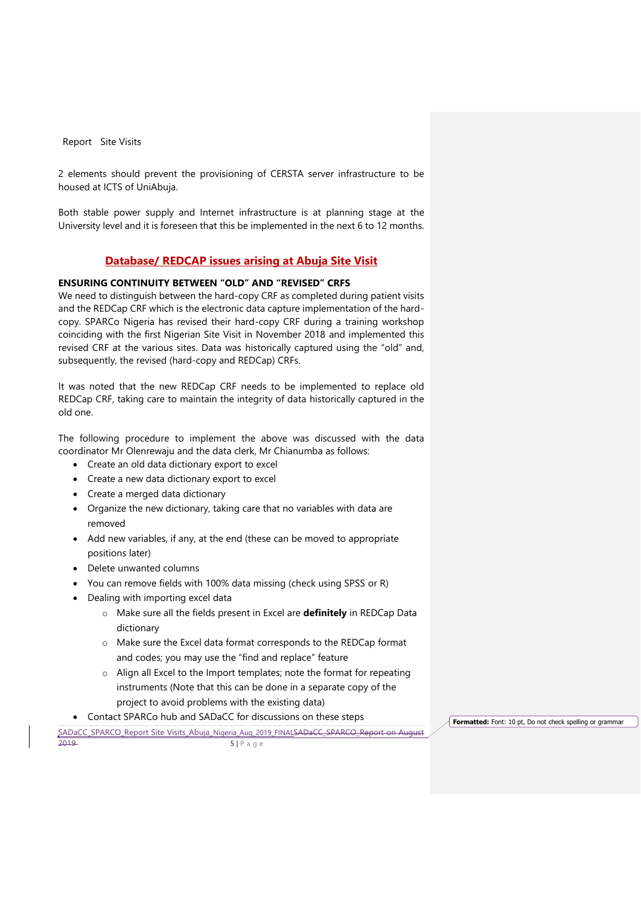2 elements should prevent the provisioning of CERSTA server infrastructure to be housed at ICTS of UniAbuja.

Both stable power supply and Internet infrastructure is at planning stage at the University level and it is foreseen that this be implemented in the next 6 to 12 months.

# **Database/ REDCAP issues arising at Abuja Site Visit**

# <span id="page-4-1"></span><span id="page-4-0"></span>**ENSURING CONTINUITY BETWEEN "OLD" AND "REVISED" CRFS**

We need to distinguish between the hard-copy CRF as completed during patient visits and the REDCap CRF which is the electronic data capture implementation of the hardcopy. SPARCo Nigeria has revised their hard-copy CRF during a training workshop coinciding with the first Nigerian Site Visit in November 2018 and implemented this revised CRF at the various sites. Data was historically captured using the "old" and, subsequently, the revised (hard-copy and REDCap) CRFs.

It was noted that the new REDCap CRF needs to be implemented to replace old REDCap CRF, taking care to maintain the integrity of data historically captured in the old one.

The following procedure to implement the above was discussed with the data coordinator Mr Olenrewaju and the data clerk, Mr Chianumba as follows:

- Create an old data dictionary export to excel
- Create a new data dictionary export to excel
- Create a merged data dictionary
- Organize the new dictionary, taking care that no variables with data are removed
- Add new variables, if any, at the end (these can be moved to appropriate positions later)
- Delete unwanted columns
- You can remove fields with 100% data missing (check using SPSS or R)
- Dealing with importing excel data
	- o Make sure all the fields present in Excel are **definitely** in REDCap Data dictionary
	- o Make sure the Excel data format corresponds to the REDCap format and codes; you may use the "find and replace" feature
	- o Align all Excel to the Import templates; note the format for repeating instruments (Note that this can be done in a separate copy of the project to avoid problems with the existing data)
- Contact SPARCo hub and SADaCC for discussions on these steps

SADaCC\_SPARCO\_Report Site Visits\_Abuja\_Nigeria\_Aug\_2019\_FINALSADaCC\_SPARCO\_Report on August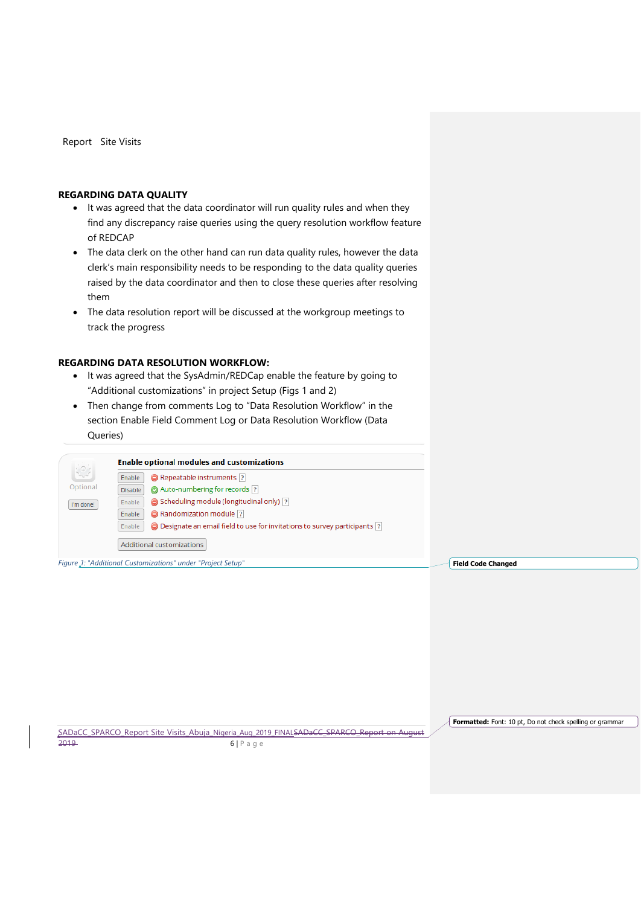# <span id="page-5-0"></span>**REGARDING DATA QUALITY**

- It was agreed that the data coordinator will run quality rules and when they find any discrepancy raise queries using the query resolution workflow feature of REDCAP
- The data clerk on the other hand can run data quality rules, however the data clerk's main responsibility needs to be responding to the data quality queries raised by the data coordinator and then to close these queries after resolving them
- The data resolution report will be discussed at the workgroup meetings to track the progress

### <span id="page-5-1"></span>**REGARDING DATA RESOLUTION WORKFLOW:**

- It was agreed that the SysAdmin/REDCap enable the feature by going to "Additional customizations" in project Setup (Figs 1 and 2)
- Then change from comments Log to "Data Resolution Workflow" in the section Enable Field Comment Log or Data Resolution Workflow (Data Queries)

|           | <b>Enable optional modules and customizations</b>                                                 |  |  |  |  |  |  |  |
|-----------|---------------------------------------------------------------------------------------------------|--|--|--|--|--|--|--|
|           | Repeatable instruments  ?<br>Enable                                                               |  |  |  |  |  |  |  |
| Optional  | Auto-numbering for records ?<br><b>Disable</b>                                                    |  |  |  |  |  |  |  |
| I'm done! | Scheduling module (longitudinal only) ?<br>Enable                                                 |  |  |  |  |  |  |  |
|           | Randomization module ?<br>Enable                                                                  |  |  |  |  |  |  |  |
|           | $\bigcirc$ Designate an email field to use for invitations to survey participants $ ? $<br>Enable |  |  |  |  |  |  |  |
|           | Additional customizations                                                                         |  |  |  |  |  |  |  |

*Figure 1: "Additional Customizations" under "Project Setup"* **Field Code Changed**

SADaCC\_SPARCO\_Report Site Visits\_Abuja\_Nigeria\_Aug\_2019\_FINALSADaCC\_SPARCO\_Report on August 2019 6 | P a g e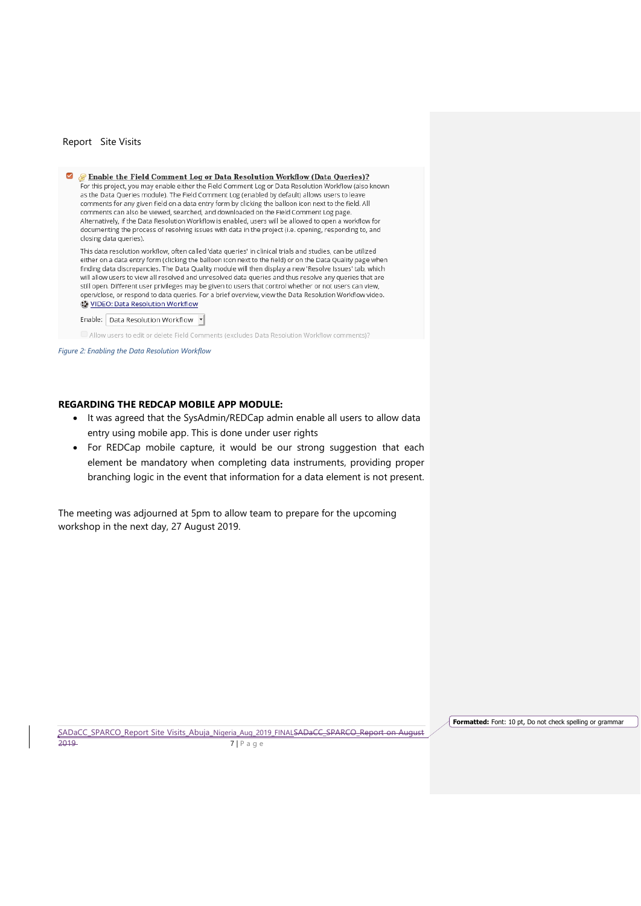$\triangleright$ Enable the Field Comment Log or Data Resolution Workflow (Data Queries)? For this project, you may enable either the Field Comment Log or Data Resolution Workflow (also known as the Data Queries module). The Field Comment Log (enabled by default) allows users to leave comments for any given field on a data entry form by clicking the balloon icon next to the field. All comments can also be viewed, searched, and downloaded on the Field Comment Log page. Alternatively, if the Data Resolution Workflow is enabled, users will be allowed to open a workflow for documenting the process of resolving issues with data in the project (i.e. opening, responding to, and closing data queries).

This data resolution workflow, often called 'data queries' in clinical trials and studies, can be utilized either on a data entry form (clicking the balloon icon next to the field) or on the Data Quality page when finding data discrepancies. The Data Quality module will then display a new 'Resolve Issues' tab, which will allow users to view all resolved and unresolved data queries and thus resolve any queries that are still open. Different user privileges may be given to users that control whether or not users can view, open/close, or respond to data queries. For a brief overview, view the Data Resolution Workflow video. VIDEO: Data Resolution Workflow

#### Enable: Data Resolution Workflow

Allow users to edit or delete Field Comments (excludes Data Resolution Workflow comments)?

*Figure 2: Enabling the Data Resolution Workflow*

### <span id="page-6-0"></span>**REGARDING THE REDCAP MOBILE APP MODULE:**

- It was agreed that the SysAdmin/REDCap admin enable all users to allow data entry using mobile app. This is done under user rights
- For REDCap mobile capture, it would be our strong suggestion that each element be mandatory when completing data instruments, providing proper branching logic in the event that information for a data element is not present.

The meeting was adjourned at 5pm to allow team to prepare for the upcoming workshop in the next day, 27 August 2019.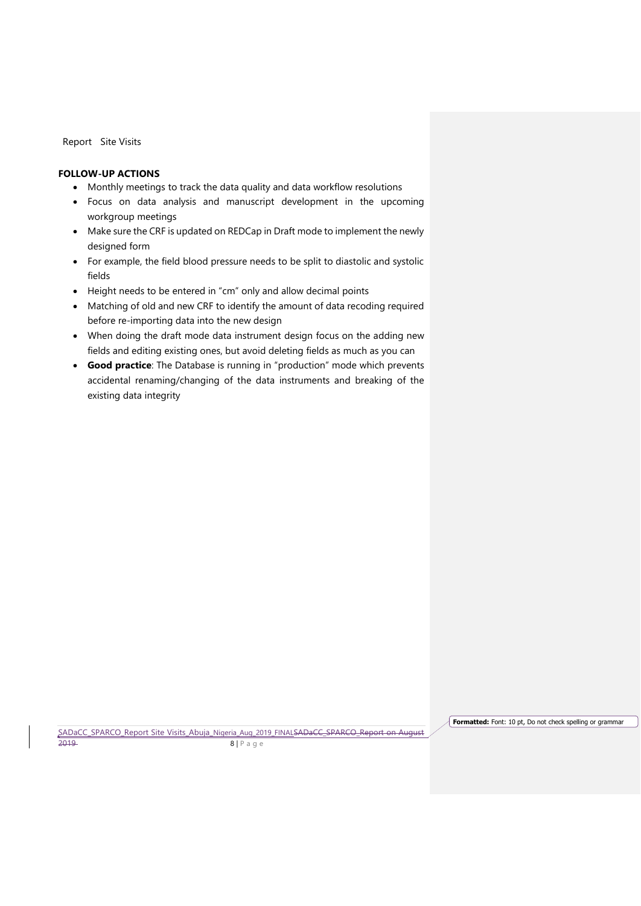# <span id="page-7-0"></span>**FOLLOW-UP ACTIONS**

- Monthly meetings to track the data quality and data workflow resolutions
- Focus on data analysis and manuscript development in the upcoming workgroup meetings
- Make sure the CRF is updated on REDCap in Draft mode to implement the newly designed form
- For example, the field blood pressure needs to be split to diastolic and systolic fields
- Height needs to be entered in "cm" only and allow decimal points
- Matching of old and new CRF to identify the amount of data recoding required before re-importing data into the new design
- When doing the draft mode data instrument design focus on the adding new fields and editing existing ones, but avoid deleting fields as much as you can
- **Good practice**: The Database is running in "production" mode which prevents accidental renaming/changing of the data instruments and breaking of the existing data integrity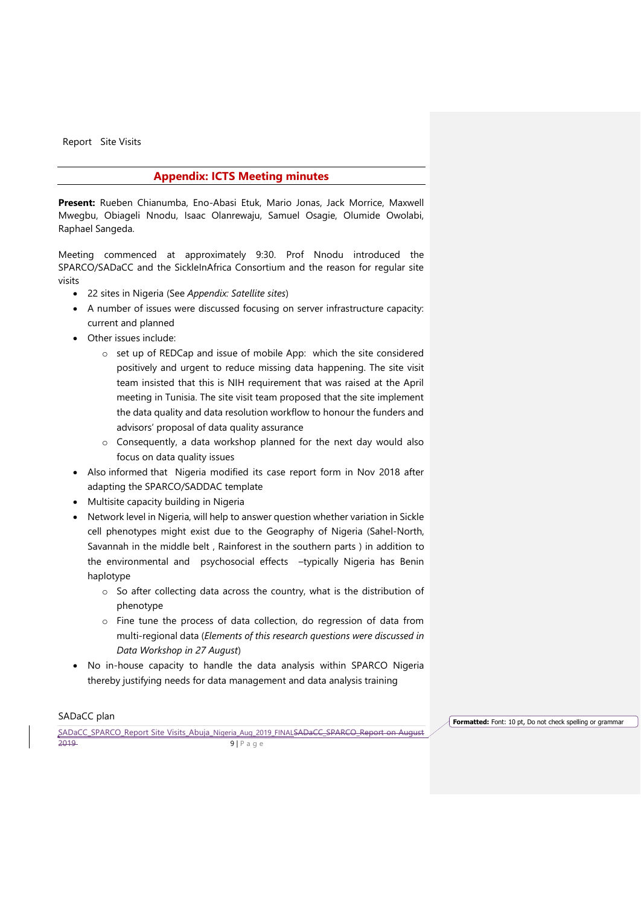# **Appendix: ICTS Meeting minutes**

<span id="page-8-0"></span>**Present:** Rueben Chianumba, Eno-Abasi Etuk, Mario Jonas, Jack Morrice, Maxwell Mwegbu, Obiageli Nnodu, Isaac Olanrewaju, Samuel Osagie, Olumide Owolabi, Raphael Sangeda.

Meeting commenced at approximately 9:30. Prof Nnodu introduced the SPARCO/SADaCC and the SickleInAfrica Consortium and the reason for regular site visits

- 22 sites in Nigeria (See *Appendix: Satellite sites*)
- A number of issues were discussed focusing on server infrastructure capacity: current and planned
- Other issues include:
	- o set up of REDCap and issue of mobile App: which the site considered positively and urgent to reduce missing data happening. The site visit team insisted that this is NIH requirement that was raised at the April meeting in Tunisia. The site visit team proposed that the site implement the data quality and data resolution workflow to honour the funders and advisors' proposal of data quality assurance
	- o Consequently, a data workshop planned for the next day would also focus on data quality issues
- Also informed that Nigeria modified its case report form in Nov 2018 after adapting the SPARCO/SADDAC template
- Multisite capacity building in Nigeria
- Network level in Nigeria, will help to answer question whether variation in Sickle cell phenotypes might exist due to the Geography of Nigeria (Sahel-North, Savannah in the middle belt , Rainforest in the southern parts ) in addition to the environmental and psychosocial effects –typically Nigeria has Benin haplotype
	- o So after collecting data across the country, what is the distribution of phenotype
	- o Fine tune the process of data collection, do regression of data from multi-regional data (*Elements of this research questions were discussed in Data Workshop in 27 August*)
- No in-house capacity to handle the data analysis within SPARCO Nigeria thereby justifying needs for data management and data analysis training

SADaCC plan

SADaCC\_SPARCO\_Report Site Visits\_Abuja\_Nigeria\_Aug\_2019\_FINALSADaCC\_SPARCO\_Report on August 2019 9 | P a g e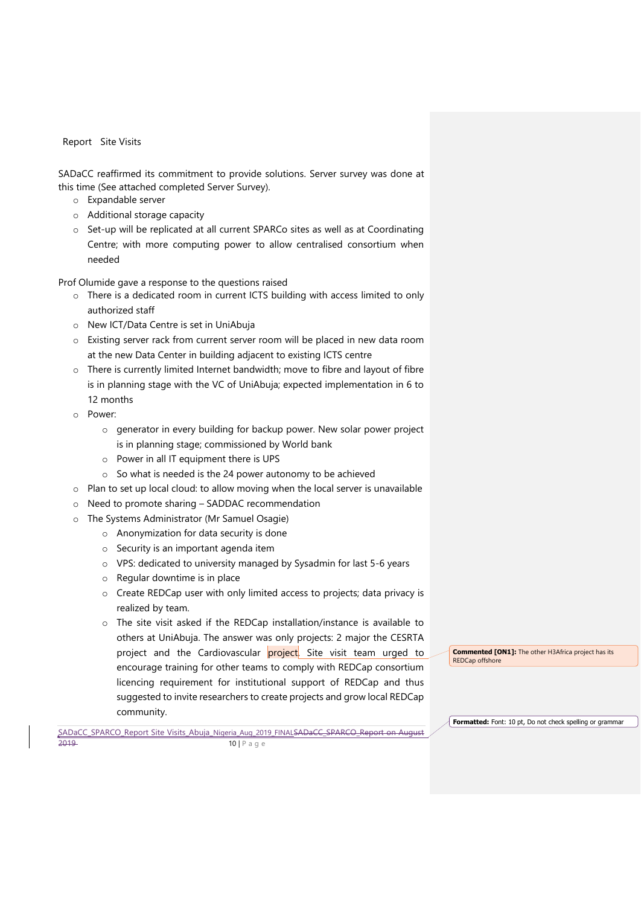SADaCC reaffirmed its commitment to provide solutions. Server survey was done at this time (See attached completed Server Survey).

- o Expandable server
- o Additional storage capacity
- o Set-up will be replicated at all current SPARCo sites as well as at Coordinating Centre; with more computing power to allow centralised consortium when needed

Prof Olumide gave a response to the questions raised

- o There is a dedicated room in current ICTS building with access limited to only authorized staff
- o New ICT/Data Centre is set in UniAbuja
- o Existing server rack from current server room will be placed in new data room at the new Data Center in building adjacent to existing ICTS centre
- o There is currently limited Internet bandwidth; move to fibre and layout of fibre is in planning stage with the VC of UniAbuja; expected implementation in 6 to 12 months
- o Power:
	- o generator in every building for backup power. New solar power project is in planning stage; commissioned by World bank
	- o Power in all IT equipment there is UPS
	- o So what is needed is the 24 power autonomy to be achieved
- o Plan to set up local cloud: to allow moving when the local server is unavailable
- o Need to promote sharing SADDAC recommendation
- o The Systems Administrator (Mr Samuel Osagie)
	- o Anonymization for data security is done
	- o Security is an important agenda item
	- o VPS: dedicated to university managed by Sysadmin for last 5-6 years
	- o Regular downtime is in place
	- o Create REDCap user with only limited access to projects; data privacy is realized by team.
	- o The site visit asked if the REDCap installation/instance is available to others at UniAbuja. The answer was only projects: 2 major the CESRTA project and the Cardiovascular project. Site visit team urged to encourage training for other teams to comply with REDCap consortium licencing requirement for institutional support of REDCap and thus suggested to invite researchers to create projects and grow local REDCap community.

**Commented [ON1]:** The other H3Africa project has its REDCap offshore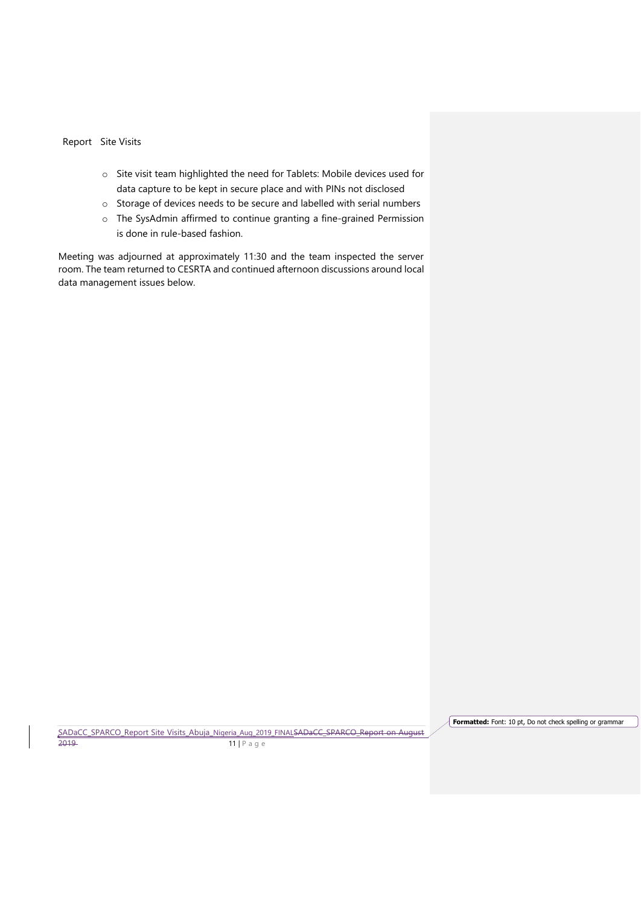- o Site visit team highlighted the need for Tablets: Mobile devices used for data capture to be kept in secure place and with PINs not disclosed
- o Storage of devices needs to be secure and labelled with serial numbers
- o The SysAdmin affirmed to continue granting a fine-grained Permission is done in rule-based fashion.

Meeting was adjourned at approximately 11:30 and the team inspected the server room. The team returned to CESRTA and continued afternoon discussions around local data management issues below.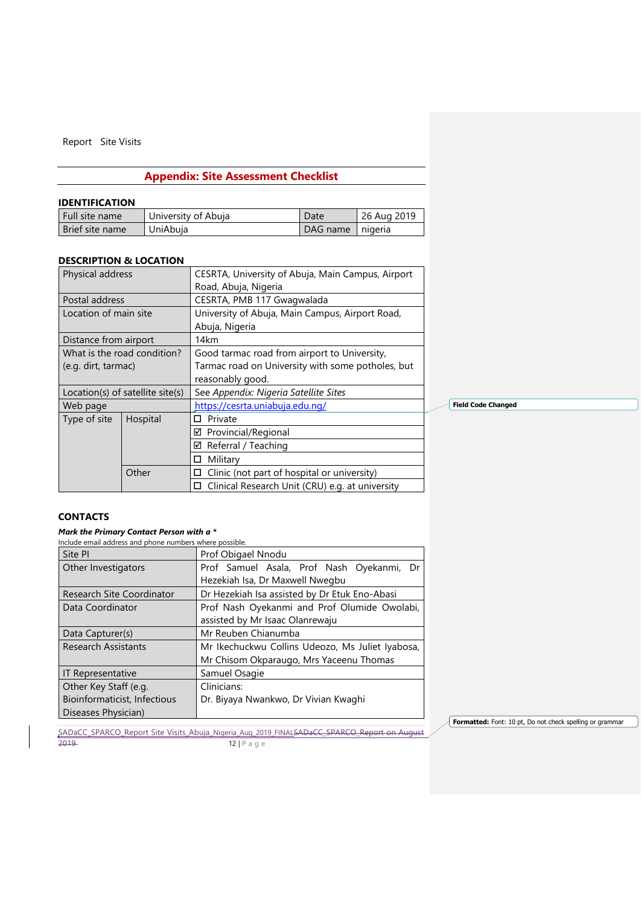# **Appendix: Site Assessment Checklist**

### <span id="page-11-1"></span><span id="page-11-0"></span>**IDENTIFICATION**

| Full site name  | University of Abuja | Date     | 26 Aug 2019 |
|-----------------|---------------------|----------|-------------|
| Brief site name | UniAbuia            | DAG name | nigeria     |

### <span id="page-11-2"></span>**DESCRIPTION & LOCATION**

| Physical address      |                                  | CESRTA, University of Abuja, Main Campus, Airport    |  |  |  |  |  |
|-----------------------|----------------------------------|------------------------------------------------------|--|--|--|--|--|
|                       |                                  | Road, Abuja, Nigeria                                 |  |  |  |  |  |
| Postal address        |                                  | CESRTA, PMB 117 Gwagwalada                           |  |  |  |  |  |
| Location of main site |                                  | University of Abuja, Main Campus, Airport Road,      |  |  |  |  |  |
|                       |                                  | Abuja, Nigeria                                       |  |  |  |  |  |
| Distance from airport |                                  | 14km                                                 |  |  |  |  |  |
|                       | What is the road condition?      | Good tarmac road from airport to University,         |  |  |  |  |  |
| (e.g. dirt, tarmac)   |                                  | Tarmac road on University with some potholes, but    |  |  |  |  |  |
|                       |                                  | reasonably good.                                     |  |  |  |  |  |
|                       | Location(s) of satellite site(s) | See Appendix: Nigeria Satellite Sites                |  |  |  |  |  |
| Web page              |                                  | https://cesrta.uniabuja.edu.ng/                      |  |  |  |  |  |
| Type of site          | Hospital                         | Private<br>п                                         |  |  |  |  |  |
|                       |                                  | ☑ Provincial/Regional                                |  |  |  |  |  |
|                       |                                  | $\boxtimes$ Referral / Teaching                      |  |  |  |  |  |
| Military<br>п         |                                  |                                                      |  |  |  |  |  |
|                       | Other                            | Clinic (not part of hospital or university)          |  |  |  |  |  |
|                       |                                  | Clinical Research Unit (CRU) e.g. at university<br>◻ |  |  |  |  |  |

**Field Code Changed**

# <span id="page-11-3"></span>**CONTACTS**

### *Mark the Primary Contact Person with a \**

| Include email address and phone numbers where possible. |                                                  |  |  |  |  |  |  |
|---------------------------------------------------------|--------------------------------------------------|--|--|--|--|--|--|
| Site PI                                                 | Prof Obigael Nnodu                               |  |  |  |  |  |  |
| Other Investigators                                     | Prof Samuel Asala, Prof Nash Oyekanmi, Dr        |  |  |  |  |  |  |
|                                                         | Hezekiah Isa, Dr Maxwell Nwegbu                  |  |  |  |  |  |  |
| Research Site Coordinator                               | Dr Hezekiah Isa assisted by Dr Etuk Eno-Abasi    |  |  |  |  |  |  |
| Data Coordinator                                        | Prof Nash Oyekanmi and Prof Olumide Owolabi,     |  |  |  |  |  |  |
|                                                         | assisted by Mr Isaac Olanrewaju                  |  |  |  |  |  |  |
| Data Capturer(s)                                        | Mr Reuben Chianumba                              |  |  |  |  |  |  |
| <b>Research Assistants</b>                              | Mr Ikechuckwu Collins Udeozo, Ms Juliet Iyabosa, |  |  |  |  |  |  |
|                                                         | Mr Chisom Okparaugo, Mrs Yaceenu Thomas          |  |  |  |  |  |  |
| <b>IT Representative</b>                                | Samuel Osagie                                    |  |  |  |  |  |  |
| Other Key Staff (e.g.                                   | Clinicians:                                      |  |  |  |  |  |  |
| Bioinformaticist, Infectious                            | Dr. Biyaya Nwankwo, Dr Vivian Kwaghi             |  |  |  |  |  |  |
| Diseases Physician)                                     |                                                  |  |  |  |  |  |  |

SADaCC\_SPARCO\_Report Site Visits\_Abuja\_Nigeria\_Aug\_2019\_FINALSADaCC\_SPARCO\_Report on August 2019 **12 | P** a g e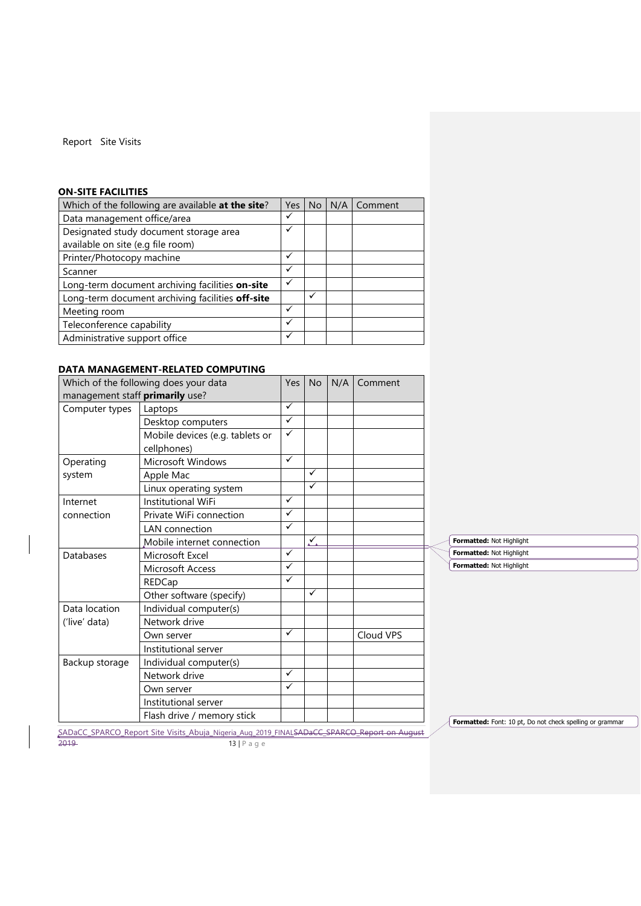# <span id="page-12-0"></span>**ON-SITE FACILITIES**

| Which of the following are available at the site? | Yes | N <sub>o</sub> | N/A | Comment |
|---------------------------------------------------|-----|----------------|-----|---------|
| Data management office/area                       | ✓   |                |     |         |
| Designated study document storage area            | ✓   |                |     |         |
| available on site (e.g file room)                 |     |                |     |         |
| Printer/Photocopy machine                         | ✓   |                |     |         |
| Scanner                                           | ✓   |                |     |         |
| Long-term document archiving facilities on-site   | ✓   |                |     |         |
| Long-term document archiving facilities off-site  |     | ✓              |     |         |
| Meeting room                                      | ✓   |                |     |         |
| Teleconference capability                         | ✓   |                |     |         |
| Administrative support office                     | ✓   |                |     |         |

# <span id="page-12-1"></span>**DATA MANAGEMENT-RELATED COMPUTING**

|                                 | Which of the following does your data | Yes          | <b>No</b>    | N/A | Comment   |                                                       |
|---------------------------------|---------------------------------------|--------------|--------------|-----|-----------|-------------------------------------------------------|
| management staff primarily use? |                                       |              |              |     |           |                                                       |
| Computer types                  | Laptops                               | $\checkmark$ |              |     |           |                                                       |
|                                 | Desktop computers                     | $\checkmark$ |              |     |           |                                                       |
|                                 | Mobile devices (e.g. tablets or       | $\checkmark$ |              |     |           |                                                       |
|                                 | cellphones)                           |              |              |     |           |                                                       |
| Operating                       | <b>Microsoft Windows</b>              | $\checkmark$ |              |     |           |                                                       |
| system                          | Apple Mac                             |              | ✓            |     |           |                                                       |
|                                 | Linux operating system                |              | $\checkmark$ |     |           |                                                       |
| Internet                        | Institutional WiFi                    | $\checkmark$ |              |     |           |                                                       |
| connection                      | Private WiFi connection               | ✓            |              |     |           |                                                       |
|                                 | <b>LAN</b> connection                 | $\checkmark$ |              |     |           |                                                       |
|                                 | Mobile internet connection            |              | Y            |     |           | Formatted: Not Highlight                              |
| Databases                       | Microsoft Excel                       | ✓            |              |     |           | Formatted: Not Highlight                              |
|                                 | Microsoft Access                      | ✓            |              |     |           | Formatted: Not Highlight                              |
|                                 | REDCap                                | $\checkmark$ |              |     |           |                                                       |
|                                 | Other software (specify)              |              | $\checkmark$ |     |           |                                                       |
| Data location                   | Individual computer(s)                |              |              |     |           |                                                       |
| ('live' data)                   | Network drive                         |              |              |     |           |                                                       |
|                                 | Own server                            | $\checkmark$ |              |     | Cloud VPS |                                                       |
|                                 | Institutional server                  |              |              |     |           |                                                       |
| Backup storage                  | Individual computer(s)                |              |              |     |           |                                                       |
|                                 | Network drive                         | ✓            |              |     |           |                                                       |
|                                 | Own server                            | $\checkmark$ |              |     |           |                                                       |
|                                 | Institutional server                  |              |              |     |           |                                                       |
|                                 | Flash drive / memory stick            |              |              |     |           | Formatted: Font: 10 pt, Do not check spelling or gram |

SADaCC\_SPARCO\_Report Site Visits\_Abuja\_Nigeria\_Aug\_2019\_FINALSADaCC\_SPARCO\_Report on August 2019 **13** | P a g e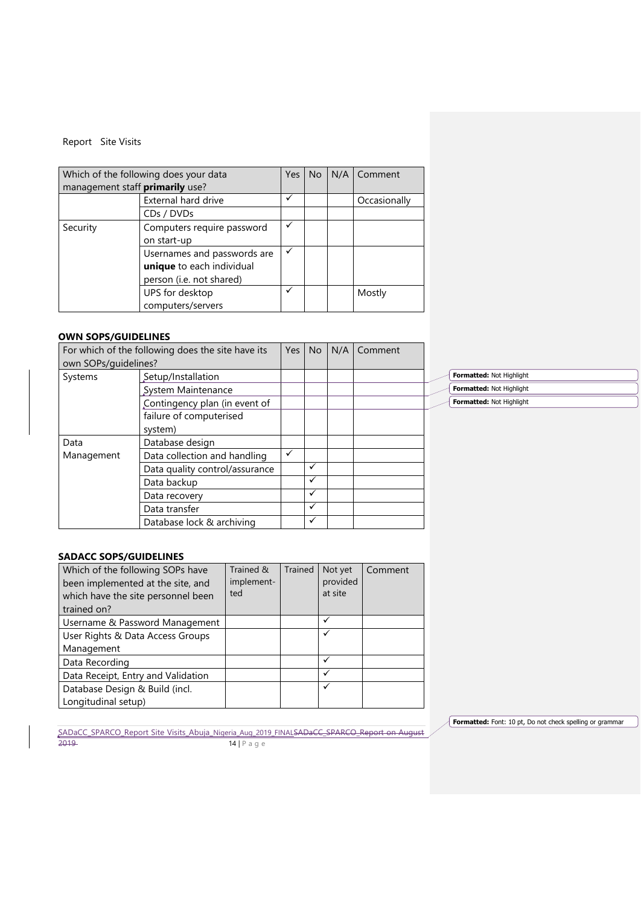| Which of the following does your data     | Yes                 | No. | N/A   Comment |              |
|-------------------------------------------|---------------------|-----|---------------|--------------|
| management staff primarily use?           |                     |     |               |              |
|                                           | External hard drive | ✓   |               | Occasionally |
|                                           | CDs / DVDs          |     |               |              |
| Security                                  | ✓                   |     |               |              |
| Computers require password<br>on start-up |                     |     |               |              |
|                                           |                     |     |               |              |
|                                           |                     |     |               |              |
| person (i.e. not shared)                  |                     |     |               |              |
|                                           |                     |     | Mostly        |              |
|                                           | computers/servers   |     |               |              |

# <span id="page-13-0"></span>**OWN SOPS/GUIDELINES**

|                      | For which of the following does the site have its | Yes          | No | N/A | Comment |                          |
|----------------------|---------------------------------------------------|--------------|----|-----|---------|--------------------------|
| own SOPs/guidelines? |                                                   |              |    |     |         |                          |
| Systems              | Setup/Installation                                |              |    |     |         | Formatted: Not Highlight |
|                      | System Maintenance                                |              |    |     |         | Formatted: Not Highlight |
|                      | Contingency plan (in event of                     |              |    |     |         | Formatted: Not Highlight |
|                      | failure of computerised<br>system)                |              |    |     |         |                          |
| Data                 | Database design                                   |              |    |     |         |                          |
| Management           | Data collection and handling                      | $\checkmark$ |    |     |         |                          |
|                      | Data quality control/assurance                    |              | ✓  |     |         |                          |
|                      | Data backup                                       |              | ✓  |     |         |                          |
|                      | Data recovery                                     |              | ✓  |     |         |                          |
|                      | Data transfer                                     |              | ✓  |     |         |                          |
|                      | Database lock & archiving                         |              | ✓  |     |         |                          |

# <span id="page-13-1"></span>**SADACC SOPS/GUIDELINES**

| Which of the following SOPs have<br>been implemented at the site, and<br>which have the site personnel been<br>trained on? | Trained &<br>implement-<br>ted | Trained | Not yet<br>provided<br>at site | Comment |
|----------------------------------------------------------------------------------------------------------------------------|--------------------------------|---------|--------------------------------|---------|
| Username & Password Management                                                                                             |                                |         | ✓                              |         |
| User Rights & Data Access Groups                                                                                           |                                |         | ✓                              |         |
| Management                                                                                                                 |                                |         |                                |         |
| Data Recording                                                                                                             |                                |         | ✓                              |         |
| Data Receipt, Entry and Validation                                                                                         |                                |         | $\checkmark$                   |         |
| Database Design & Build (incl.                                                                                             |                                |         | ✓                              |         |
| Longitudinal setup)                                                                                                        |                                |         |                                |         |

SADaCC\_SPARCO\_Report Site Visits\_Abuja\_Nigeria\_Aug\_2019\_FINALSADaCC\_SPARCO\_Report on August 2019 **14 | P** a g e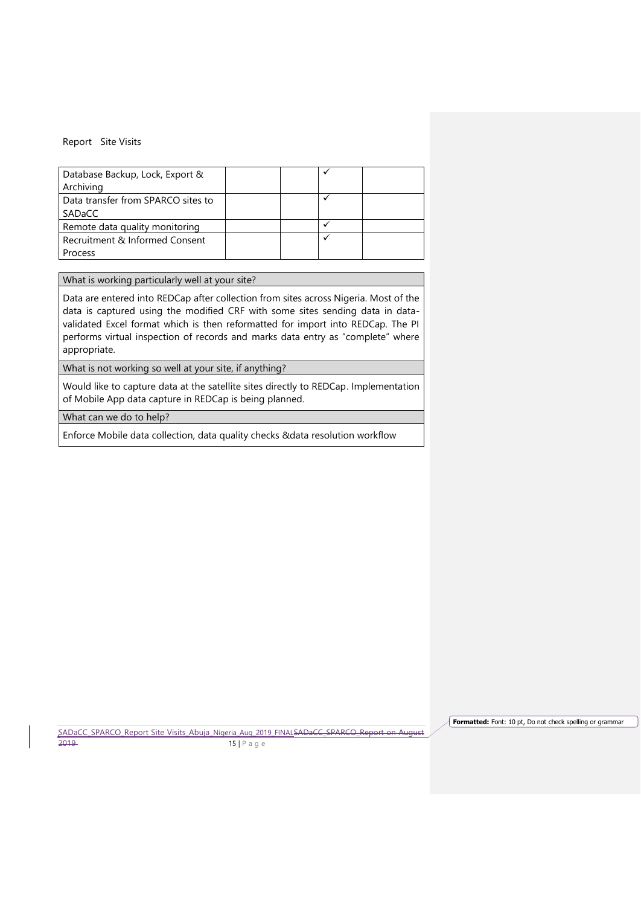| Database Backup, Lock, Export &<br>Archiving |  |              |  |
|----------------------------------------------|--|--------------|--|
| Data transfer from SPARCO sites to           |  |              |  |
| SADaCC                                       |  |              |  |
| Remote data quality monitoring               |  |              |  |
| Recruitment & Informed Consent               |  | $\checkmark$ |  |
| Process                                      |  |              |  |

What is working particularly well at your site?

Data are entered into REDCap after collection from sites across Nigeria. Most of the data is captured using the modified CRF with some sites sending data in datavalidated Excel format which is then reformatted for import into REDCap. The PI performs virtual inspection of records and marks data entry as "complete" where appropriate.

What is not working so well at your site, if anything?

Would like to capture data at the satellite sites directly to REDCap. Implementation of Mobile App data capture in REDCap is being planned.

What can we do to help?

Enforce Mobile data collection, data quality checks &data resolution workflow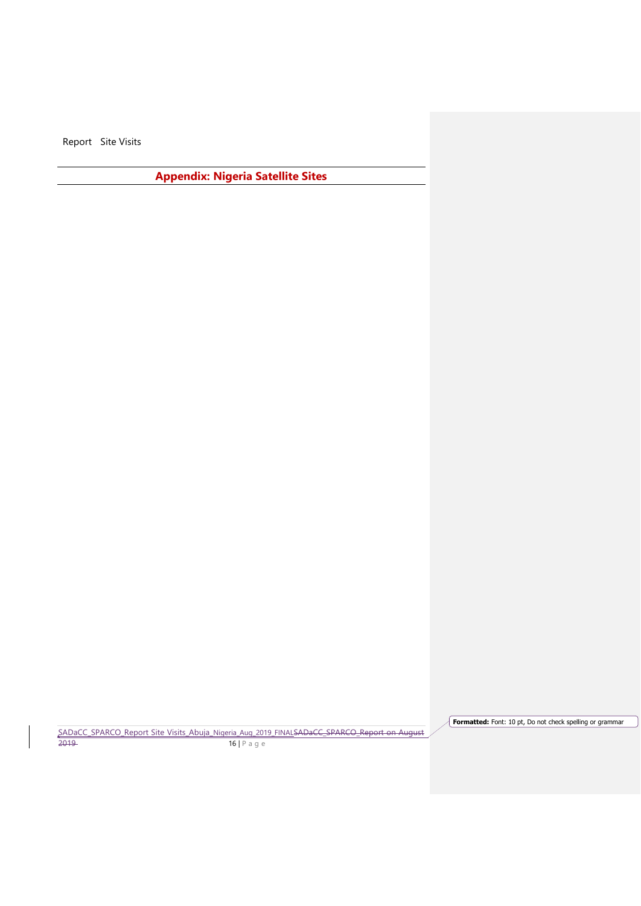<span id="page-15-0"></span>**Appendix: Nigeria Satellite Sites**

SADaCC\_SPARCO\_Report Site Visits\_Abuja\_Nigeria\_Aug\_2019\_FINALSADaCC\_SPARCO\_Report on August 2019 **16 | P** a g e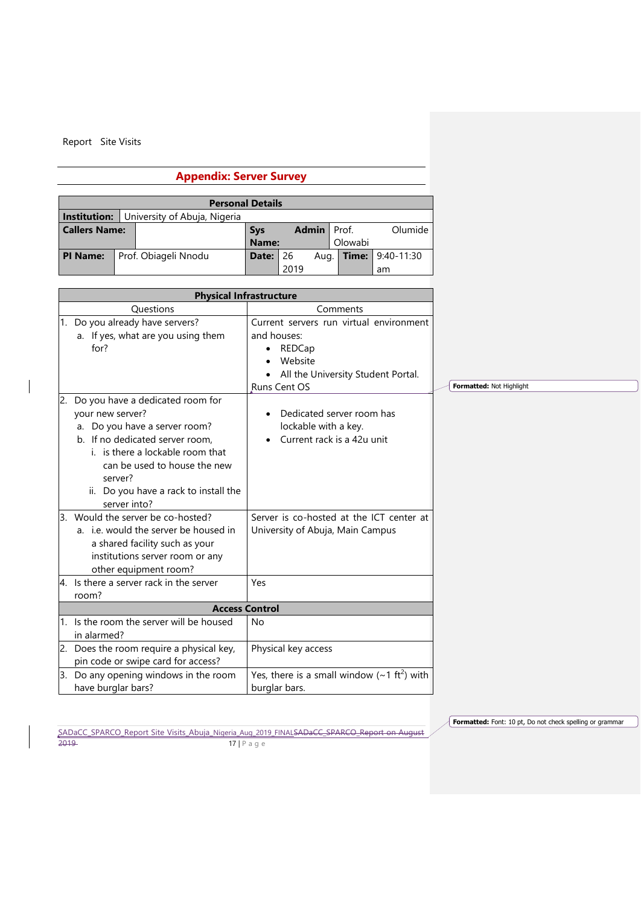$\overline{\phantom{a}}$ 

# **Appendix: Server Survey**

<span id="page-16-0"></span>

| <b>Personal Details</b> |  |                              |       |      |                    |         |                           |
|-------------------------|--|------------------------------|-------|------|--------------------|---------|---------------------------|
| Institution:            |  | University of Abuja, Nigeria |       |      |                    |         |                           |
| <b>Callers Name:</b>    |  | <b>Sys</b>                   |       |      | <b>Admin</b> Prof. | Olumide |                           |
|                         |  |                              | Name: |      |                    | Olowabi |                           |
| <b>PI Name:</b>         |  | Prof. Obiageli Nnodu         | Date: | 26   | Aug.               |         | <b>Time:</b> $9:40-11:30$ |
|                         |  |                              |       | 2019 |                    |         | am                        |

|    | <b>Physical Infrastructure</b>                                                                                                                                            |                                                                                                                                                                                             |                          |
|----|---------------------------------------------------------------------------------------------------------------------------------------------------------------------------|---------------------------------------------------------------------------------------------------------------------------------------------------------------------------------------------|--------------------------|
|    | <b>Questions</b>                                                                                                                                                          | Comments                                                                                                                                                                                    |                          |
|    | 1. Do you already have servers?<br>a. If yes, what are you using them<br>for?<br>2. Do you have a dedicated room for<br>your new server?<br>a. Do you have a server room? | Current servers run virtual environment<br>and houses:<br>REDCap<br>٠<br>Website<br>All the University Student Portal.<br>Runs Cent OS<br>Dedicated server room has<br>lockable with a key. | Formatted: Not Highlight |
|    | b. If no dedicated server room,<br>i. is there a lockable room that<br>can be used to house the new<br>server?<br>ii. Do you have a rack to install the<br>server into?   | Current rack is a 42u unit                                                                                                                                                                  |                          |
| 3. | Would the server be co-hosted?<br>a. i.e. would the server be housed in<br>a shared facility such as your<br>institutions server room or any<br>other equipment room?     | Server is co-hosted at the ICT center at<br>University of Abuja, Main Campus                                                                                                                |                          |
|    | 4. Is there a server rack in the server                                                                                                                                   | Yes                                                                                                                                                                                         |                          |
|    | room?<br><b>Access Control</b>                                                                                                                                            |                                                                                                                                                                                             |                          |
|    | 1. Is the room the server will be housed<br>in alarmed?                                                                                                                   | <b>No</b>                                                                                                                                                                                   |                          |
|    | 2. Does the room require a physical key,<br>pin code or swipe card for access?                                                                                            | Physical key access                                                                                                                                                                         |                          |
|    | 3. Do any opening windows in the room<br>have burglar bars?                                                                                                               | Yes, there is a small window $({\sim}1 \text{ ft}^2)$ with<br>burglar bars.                                                                                                                 |                          |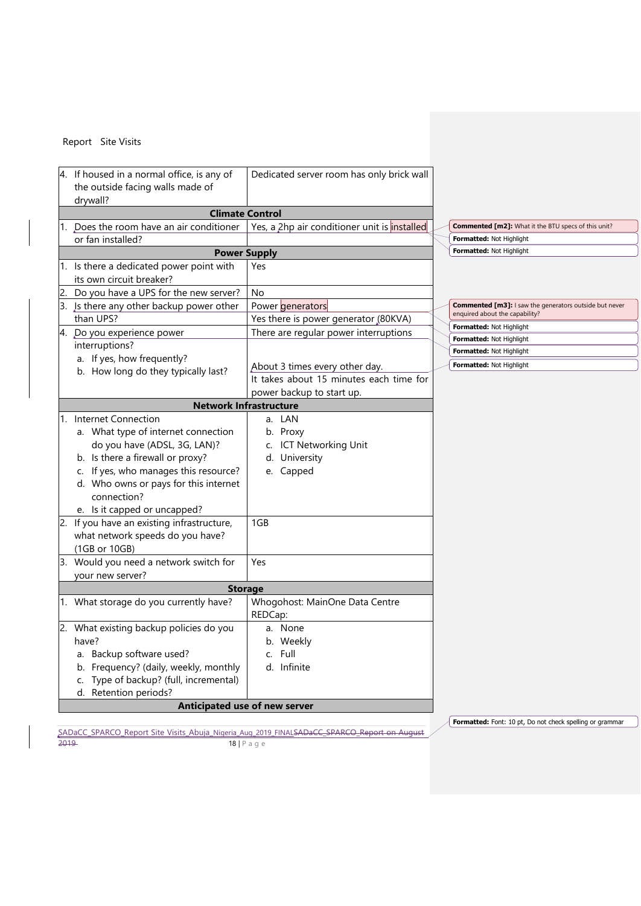| 4. If housed in a normal office, is any of<br>the outside facing walls made of<br>drywall? |                                                                      | Dedicated server room has only brick wall    |  |                                                               |
|--------------------------------------------------------------------------------------------|----------------------------------------------------------------------|----------------------------------------------|--|---------------------------------------------------------------|
| <b>Climate Control</b>                                                                     |                                                                      |                                              |  |                                                               |
|                                                                                            | 1. Does the room have an air conditioner                             | Yes, a 2hp air conditioner unit is installed |  | <b>Commented [m2]:</b> What it the BTU specs of this unit?    |
|                                                                                            | or fan installed?                                                    |                                              |  | Formatted: Not Highlight                                      |
| <b>Power Supply</b>                                                                        |                                                                      |                                              |  | Formatted: Not Highlight                                      |
|                                                                                            | 1. Is there a dedicated power point with<br>its own circuit breaker? | Yes                                          |  |                                                               |
| 2.                                                                                         | Do you have a UPS for the new server?                                | No                                           |  |                                                               |
|                                                                                            | 3. Is there any other backup power other                             | Power generators                             |  | <b>Commented [m3]: I saw the generators outside but never</b> |
|                                                                                            | than UPS?                                                            | Yes there is power generator (80KVA)         |  | enquired about the capability?                                |
|                                                                                            | 4. Do you experience power                                           | There are regular power interruptions        |  | Formatted: Not Highlight                                      |
|                                                                                            | interruptions?                                                       |                                              |  | <b>Formatted: Not Highlight</b>                               |
|                                                                                            | a. If yes, how frequently?                                           |                                              |  | Formatted: Not Highlight                                      |
|                                                                                            | b. How long do they typically last?                                  | About 3 times every other day.               |  | Formatted: Not Highlight                                      |
|                                                                                            |                                                                      | It takes about 15 minutes each time for      |  |                                                               |
|                                                                                            |                                                                      | power backup to start up.                    |  |                                                               |
|                                                                                            |                                                                      | <b>Network Infrastructure</b>                |  |                                                               |
|                                                                                            | 1. Internet Connection                                               | a. LAN                                       |  |                                                               |
|                                                                                            | a. What type of internet connection                                  | b. Proxy                                     |  |                                                               |
|                                                                                            | do you have (ADSL, 3G, LAN)?                                         | c. ICT Networking Unit                       |  |                                                               |
|                                                                                            | b. Is there a firewall or proxy?                                     | d. University                                |  |                                                               |
|                                                                                            | c. If yes, who manages this resource?                                | e. Capped                                    |  |                                                               |
|                                                                                            | d. Who owns or pays for this internet                                |                                              |  |                                                               |
|                                                                                            | connection?                                                          |                                              |  |                                                               |
|                                                                                            | e. Is it capped or uncapped?                                         |                                              |  |                                                               |
|                                                                                            | 2. If you have an existing infrastructure,                           | 1GB                                          |  |                                                               |
|                                                                                            | what network speeds do you have?                                     |                                              |  |                                                               |
|                                                                                            | (1GB or 10GB)                                                        |                                              |  |                                                               |
|                                                                                            | 3. Would you need a network switch for                               | Yes                                          |  |                                                               |
|                                                                                            | your new server?                                                     |                                              |  |                                                               |
| <b>Storage</b>                                                                             |                                                                      |                                              |  |                                                               |
|                                                                                            | 1. What storage do you currently have?                               | Whogohost: MainOne Data Centre               |  |                                                               |
|                                                                                            |                                                                      | REDCap:                                      |  |                                                               |
|                                                                                            | 2. What existing backup policies do you                              | a. None                                      |  |                                                               |
|                                                                                            | have?                                                                | b. Weekly                                    |  |                                                               |
|                                                                                            | a. Backup software used?                                             | c. Full                                      |  |                                                               |
|                                                                                            | b. Frequency? (daily, weekly, monthly                                | d. Infinite                                  |  |                                                               |
|                                                                                            | c. Type of backup? (full, incremental)                               |                                              |  |                                                               |
|                                                                                            | d. Retention periods?                                                |                                              |  |                                                               |
|                                                                                            | Anticipated use of new server                                        |                                              |  |                                                               |
|                                                                                            |                                                                      |                                              |  |                                                               |

SADaCC\_SPARCO\_Report Site Visits\_Abuja\_Nigeria\_Aug\_2019\_FINALSADaCC\_SPARCO\_Report on August 2019 **18** | P a g e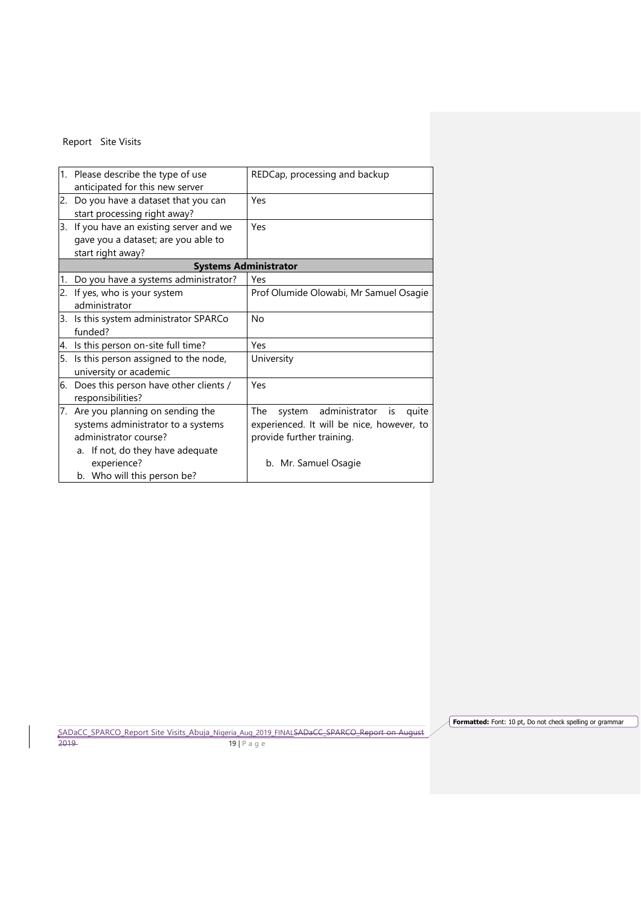|    | 1. Please describe the type of use       | REDCap, processing and backup             |
|----|------------------------------------------|-------------------------------------------|
|    | anticipated for this new server          |                                           |
|    | 2. Do you have a dataset that you can    | Yes                                       |
|    | start processing right away?             |                                           |
|    | 3. If you have an existing server and we | Yes                                       |
|    | gave you a dataset; are you able to      |                                           |
|    | start right away?                        |                                           |
|    |                                          | <b>Systems Administrator</b>              |
| 1. | Do you have a systems administrator?     | Yes                                       |
|    | 2. If yes, who is your system            | Prof Olumide Olowabi, Mr Samuel Osagie    |
|    | administrator                            |                                           |
|    | 3. Is this system administrator SPARCo   | No                                        |
|    | funded?                                  |                                           |
|    | 4. Is this person on-site full time?     | Yes                                       |
| 5. | Is this person assigned to the node,     | University                                |
|    | university or academic                   |                                           |
|    | 6. Does this person have other clients / | Yes                                       |
|    | responsibilities?                        |                                           |
|    | 7. Are you planning on sending the       | system administrator is<br>The<br>quite   |
|    | systems administrator to a systems       | experienced. It will be nice, however, to |
|    | administrator course?                    | provide further training.                 |
|    | a. If not, do they have adequate         |                                           |
|    | experience?                              | b. Mr. Samuel Osagie                      |
|    | b. Who will this person be?              |                                           |